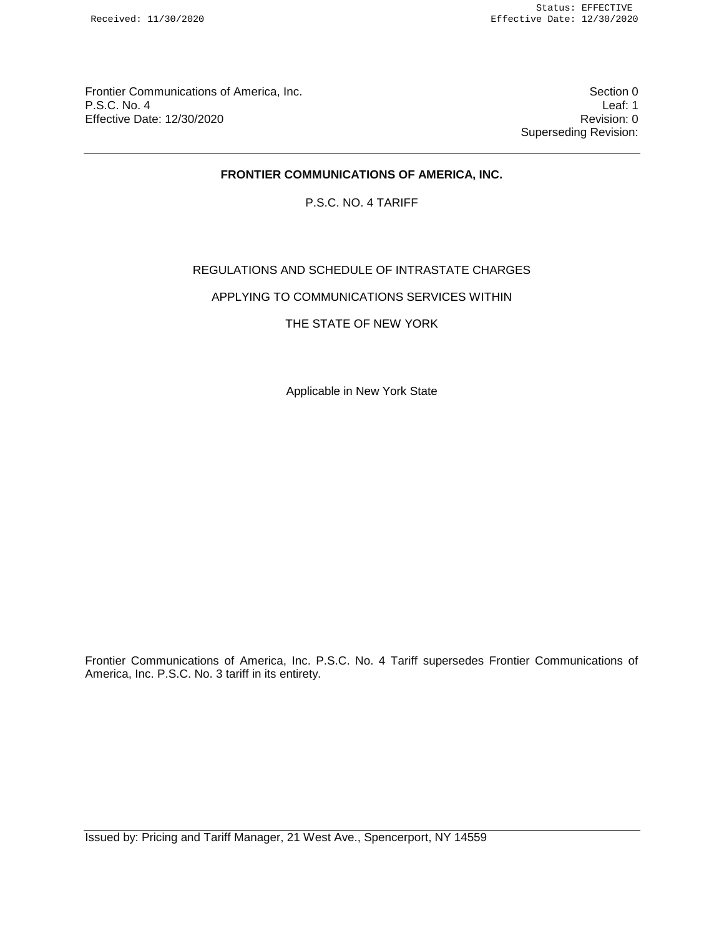Frontier Communications of America, Inc. Section 0 P.S.C. No. 4 Leaf: 1 Effective Date: 12/30/2020 **Revision: 0 Revision: 0** 

Superseding Revision:

# **FRONTIER COMMUNICATIONS OF AMERICA, INC.**

P.S.C. NO. 4 TARIFF

# REGULATIONS AND SCHEDULE OF INTRASTATE CHARGES

APPLYING TO COMMUNICATIONS SERVICES WITHIN

## THE STATE OF NEW YORK

Applicable in New York State

Frontier Communications of America, Inc. P.S.C. No. 4 Tariff supersedes Frontier Communications of America, Inc. P.S.C. No. 3 tariff in its entirety.

Issued by: Pricing and Tariff Manager, 21 West Ave., Spencerport, NY 14559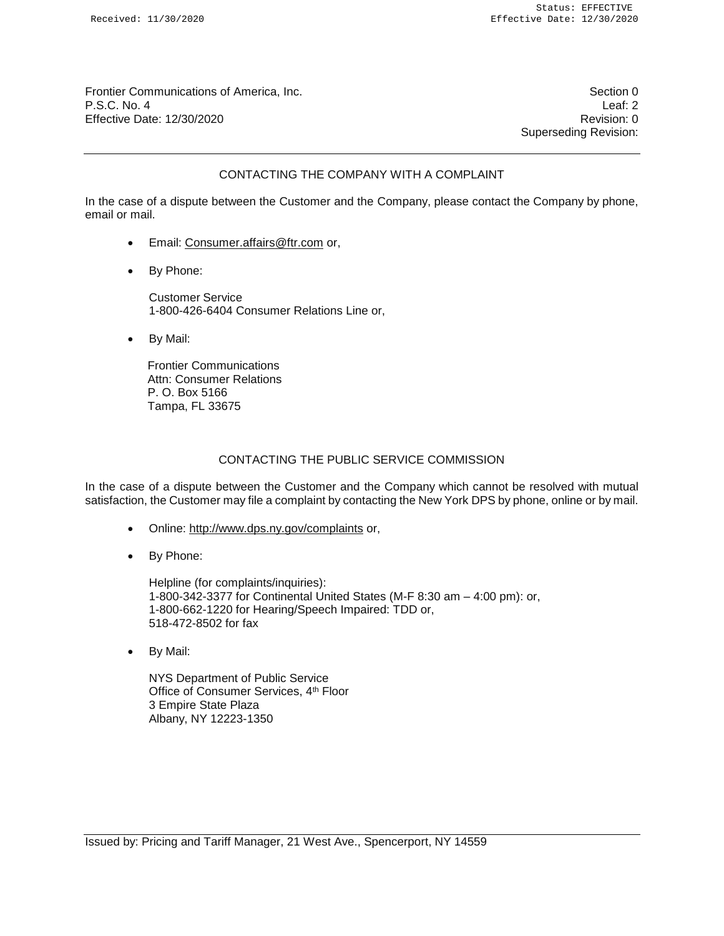Frontier Communications of America, Inc. Section 0 P.S.C. No. 4 Leaf: 2 Effective Date: 12/30/2020 **Revision: 0** 

Superseding Revision:

## CONTACTING THE COMPANY WITH A COMPLAINT

In the case of a dispute between the Customer and the Company, please contact the Company by phone, email or mail.

- Email: Consumer.affairs@ftr.com or,
- By Phone:

Customer Service 1-800-426-6404 Consumer Relations Line or,

• By Mail:

Frontier Communications Attn: Consumer Relations P. O. Box 5166 Tampa, FL 33675

#### CONTACTING THE PUBLIC SERVICE COMMISSION

In the case of a dispute between the Customer and the Company which cannot be resolved with mutual satisfaction, the Customer may file a complaint by contacting the New York DPS by phone, online or by mail.

- Online: http://www.dps.ny.gov/complaints or,
- By Phone:

Helpline (for complaints/inquiries): 1-800-342-3377 for Continental United States (M-F 8:30 am – 4:00 pm): or, 1-800-662-1220 for Hearing/Speech Impaired: TDD or, 518-472-8502 for fax

• By Mail:

NYS Department of Public Service Office of Consumer Services, 4<sup>th</sup> Floor 3 Empire State Plaza Albany, NY 12223-1350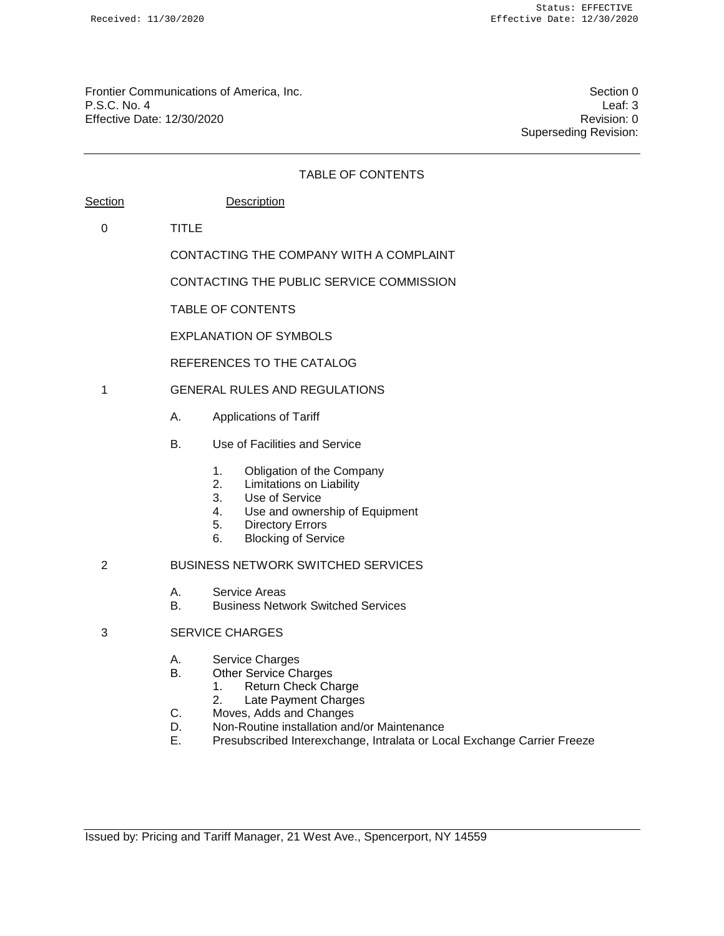Frontier Communications of America, Inc. Section 0 P.S.C. No. 4 Leaf: 3 Effective Date: 12/30/2020 **Revision: 0 Revision: 0** 

Superseding Revision:

# TABLE OF CONTENTS Section Description 0 TITLE CONTACTING THE COMPANY WITH A COMPLAINT CONTACTING THE PUBLIC SERVICE COMMISSION TABLE OF CONTENTS EXPLANATION OF SYMBOLS REFERENCES TO THE CATALOG 1 GENERAL RULES AND REGULATIONS A. Applications of Tariff B. Use of Facilities and Service 1. Obligation of the Company 2. Limitations on Liability 3. Use of Service 4. Use and ownership of Equipment 5. Directory Errors 6. Blocking of Service 2 BUSINESS NETWORK SWITCHED SERVICES A. Service Areas B. Business Network Switched Services 3 SERVICE CHARGES A. Service Charges B. Other Service Charges 1. Return Check Charge 2. Late Payment Charges

- C. Moves, Adds and Changes
- D. Non-Routine installation and/or Maintenance
- E. Presubscribed Interexchange, Intralata or Local Exchange Carrier Freeze

Issued by: Pricing and Tariff Manager, 21 West Ave., Spencerport, NY 14559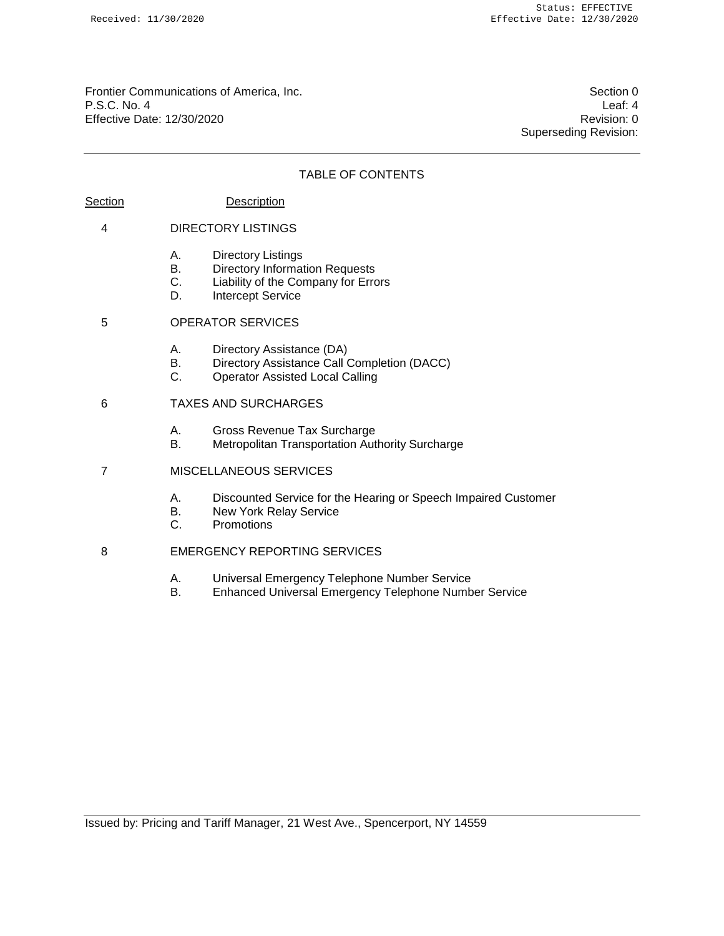Frontier Communications of America, Inc. Section 0 P.S.C. No. 4 Leaf: 4 Effective Date: 12/30/2020 Revision: 0

Superseding Revision:

## TABLE OF CONTENTS

#### Section Description

#### 4 DIRECTORY LISTINGS

- A. Directory Listings
- B. Directory Information Requests
- C. Liability of the Company for Errors
- D. Intercept Service

# 5 OPERATOR SERVICES

- A. Directory Assistance (DA)
- B. Directory Assistance Call Completion (DACC)
- C. Operator Assisted Local Calling

#### 6 TAXES AND SURCHARGES

- A. Gross Revenue Tax Surcharge
- B. Metropolitan Transportation Authority Surcharge
- 7 MISCELLANEOUS SERVICES
	- A. Discounted Service for the Hearing or Speech Impaired Customer
	- B. New York Relay Service
	- C. Promotions

## 8 EMERGENCY REPORTING SERVICES

- A. Universal Emergency Telephone Number Service
- Enhanced Universal Emergency Telephone Number Service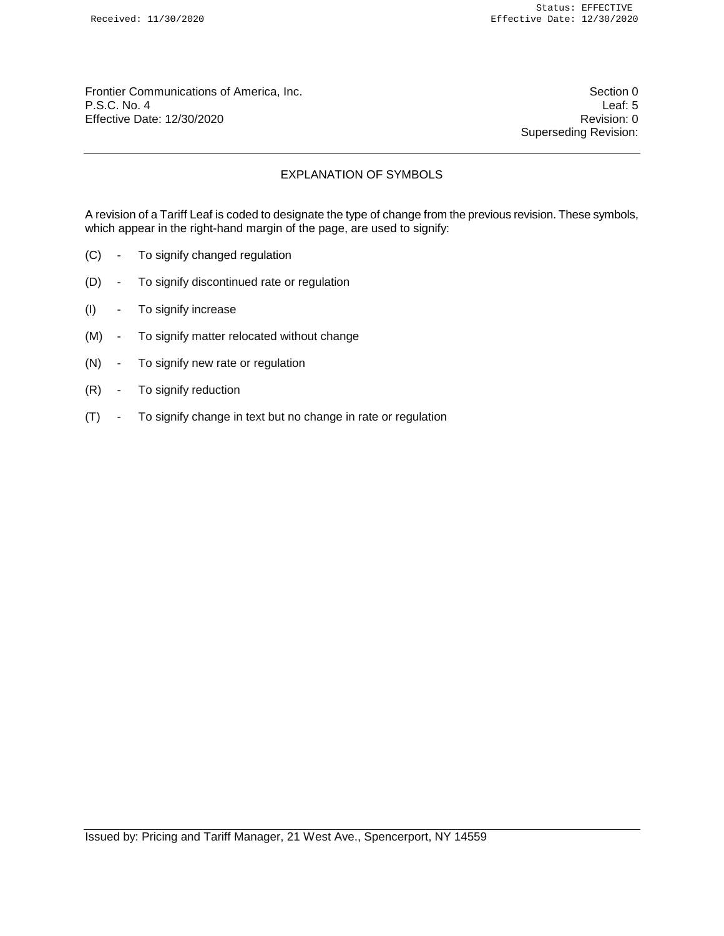Frontier Communications of America, Inc. Section 0 P.S.C. No. 4 Leaf: 5 Effective Date: 12/30/2020 **Revision: 0 Revision: 0** 

Superseding Revision:

# EXPLANATION OF SYMBOLS

A revision of a Tariff Leaf is coded to designate the type of change from the previous revision. These symbols, which appear in the right-hand margin of the page, are used to signify:

- (C) To signify changed regulation
- (D) To signify discontinued rate or regulation
- (I) To signify increase
- (M) To signify matter relocated without change
- (N) To signify new rate or regulation
- (R) To signify reduction
- (T) To signify change in text but no change in rate or regulation